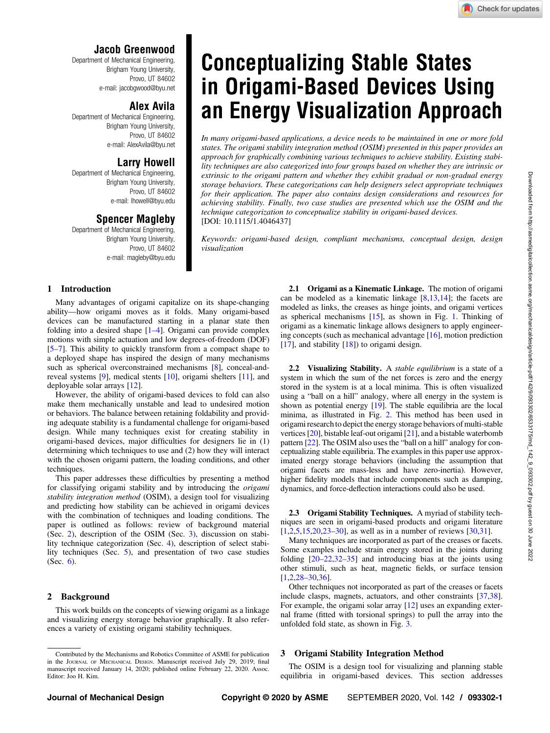<span id="page-0-0"></span>Department of Mechanical Engineering, Brigham Young University, Provo, UT 84602 e-mail: [jacobgwood@byu.net](mailto:jacobgwood@byu.net)

## Alex Avila

Department of Mechanical Engineering, Brigham Young University, Provo, UT 84602 e-mail: [AlexAvila@byu.net](mailto:AlexAvila@byu.net)

### Larry Howell

Department of Mechanical Engineering, Brigham Young University, Provo, UT 84602 e-mail: [lhowell@byu.edu](mailto:lhowell@byu.edu)

# Spencer Magleby

Department of Mechanical Engineering, Brigham Young University, Provo, UT 84602 e-mail: [magleby@byu.edu](mailto:magleby@byu.edu)

# Conceptualizing Stable States in Origami-Based Devices Using an Energy Visualization Approach

In many origami-based applications, a device needs to be maintained in one or more fold states. The origami stability integration method (OSIM) presented in this paper provides an approach for graphically combining various techniques to achieve stability. Existing stability techniques are also categorized into four groups based on whether they are intrinsic or extrinsic to the origami pattern and whether they exhibit gradual or non-gradual energy storage behaviors. These categorizations can help designers select appropriate techniques for their application. The paper also contains design considerations and resources for achieving stability. Finally, two case studies are presented which use the OSIM and the technique categorization to conceptualize stability in origami-based devices. [DOI: 10.1115/1.4046437]

Keywords: origami-based design, compliant mechanisms, conceptual design, design visualization

#### 1 Introduction

Many advantages of origami capitalize on its shape-changing ability—how origami moves as it folds. Many origami-based devices can be manufactured starting in a planar state then folding into a desired shape [1–4]. Origami can provide complex motions with simple actuation and low degrees-of-freedom (DOF) [5–7]. This ability to quickly transform from a compact shape to a deployed shape has inspired the design of many mechanisms such as spherical overconstrained mechanisms [\[8\]](#page-9-0), conceal-andreveal systems [[9](#page-9-0)], medical stents [[10\]](#page-9-0), origami shelters [[11\]](#page-9-0), and deployable solar arrays [\[12](#page-9-0)].

However, the ability of origami-based devices to fold can also make them mechanically unstable and lead to undesired motion or behaviors. The balance between retaining foldability and providing adequate stability is a fundamental challenge for origami-based design. While many techniques exist for creating stability in origami-based devices, major difficulties for designers lie in (1) determining which techniques to use and (2) how they will interact with the chosen origami pattern, the loading conditions, and other techniques.

This paper addresses these difficulties by presenting a method for classifying origami stability and by introducing the origami stability integration method (OSIM), a design tool for visualizing and predicting how stability can be achieved in origami devices with the combination of techniques and loading conditions. The paper is outlined as follows: review of background material (Sec. 2), description of the OSIM (Sec. 3), discussion on stability technique categorization (Sec. [4\)](#page-3-0), description of select stability techniques (Sec. [5\)](#page-5-0), and presentation of two case studies (Sec. [6](#page-6-0)).

#### 2 Background

This work builds on the concepts of viewing origami as a linkage and visualizing energy storage behavior graphically. It also references a variety of existing origami stability techniques.

2.1 Origami as a Kinematic Linkage. The motion of origami can be modeled as a kinematic linkage [[8](#page-9-0),[13,14\]](#page-9-0); the facets are modeled as links, the creases as hinge joints, and origami vertices as spherical mechanisms [[15\]](#page-9-0), as shown in Fig. [1](#page-1-0). Thinking of origami as a kinematic linkage allows designers to apply engineering concepts (such as mechanical advantage [[16\]](#page-9-0), motion prediction  $[17]$  $[17]$ , and stability  $[18]$  $[18]$ ) to origami design.

2.2 Visualizing Stability. A *stable equilibrium* is a state of a system in which the sum of the net forces is zero and the energy stored in the system is at a local minima. This is often visualized using a "ball on a hill" analogy, where all energy in the system is shown as potential energy [[19\]](#page-9-0). The stable equilibria are the local minima, as illustrated in Fig. [2](#page-1-0). This method has been used in origami research to depict the energy storage behaviors of multi-stable vertices [[20](#page-9-0)], bistable leaf-out origami [\[21](#page-9-0)], and a bistable waterbomb pattern [\[22\]](#page-9-0). The OSIM also uses the "ball on a hill" analogy for conceptualizing stable equilibria. The examples in this paper use approximated energy storage behaviors (including the assumption that origami facets are mass-less and have zero-inertia). However, higher fidelity models that include components such as damping, dynamics, and force-deflection interactions could also be used.

2.3 Origami Stability Techniques. A myriad of stability techniques are seen in origami-based products and origami literature [[1](#page-9-0),[2,5,15,20](#page-9-0),23–30], as well as in a number of reviews [[30,31\]](#page-9-0).

Many techniques are incorporated as part of the creases or facets. Some examples include strain energy stored in the joints during folding  $[20-22,32-35]$  and introducing bias at the joints using other stimuli, such as heat, magnetic fields, or surface tension [[1](#page-9-0),[2](#page-9-0),28–30[,36](#page-9-0)].

Other techniques not incorporated as part of the creases or facets include clasps, magnets, actuators, and other constraints [[37,38\]](#page-9-0). For example, the origami solar array [\[12](#page-9-0)] uses an expanding external frame (fitted with torsional springs) to pull the array into the unfolded fold state, as shown in Fig. [3.](#page-1-0)

#### 3 Origami Stability Integration Method

The OSIM is a design tool for visualizing and planning stable equilibria in origami-based devices. This section addresses

Contributed by the Mechanisms and Robotics Committee of ASME for publication in the JOURNAL OF MECHANICAL DESIGN. Manuscript received July 29, 2019; final manuscript received January 14, 2020; published online February 22, 2020. Assoc. Editor: Joo H. Kim.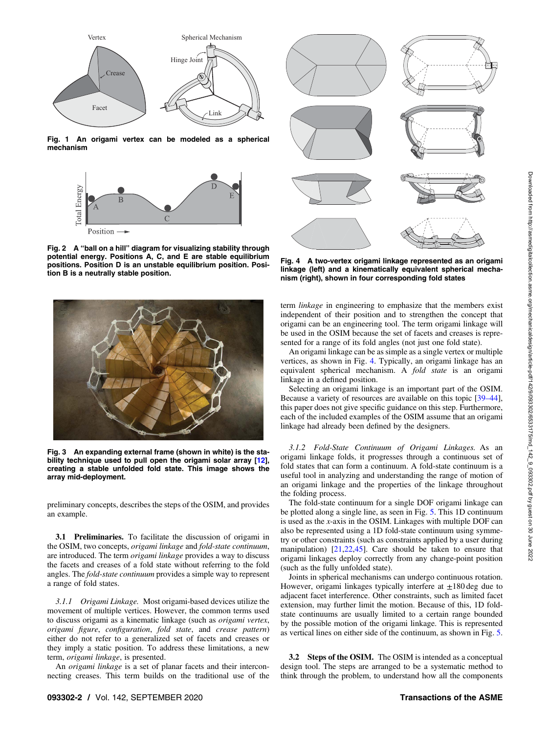<span id="page-1-0"></span>

Fig. 1 An origami vertex can be modeled as a spherical mechanism



Fig. 2 A "ball on a hill" diagram for visualizing stability through potential energy. Positions A, C, and E are stable equilibrium positions. Position D is an unstable equilibrium position. Position B is a neutrally stable position.



Fig. 3 An expanding external frame (shown in white) is the stability technique used to pull open the origami solar array [\[12](#page-9-0)], creating a stable unfolded fold state. This image shows the array mid-deployment.

preliminary concepts, describes the steps of the OSIM, and provides an example.

3.1 Preliminaries. To facilitate the discussion of origami in the OSIM, two concepts, origami linkage and fold-state continuum, are introduced. The term origami linkage provides a way to discuss the facets and creases of a fold state without referring to the fold angles. The fold-state continuum provides a simple way to represent a range of fold states.

3.1.1 Origami Linkage. Most origami-based devices utilize the movement of multiple vertices. However, the common terms used to discuss origami as a kinematic linkage (such as origami vertex, origami figure, configuration, fold state, and crease pattern) either do not refer to a generalized set of facets and creases or they imply a static position. To address these limitations, a new term, origami linkage, is presented.

An origami linkage is a set of planar facets and their interconnecting creases. This term builds on the traditional use of the



Fig. 4 A two-vertex origami linkage represented as an origami linkage (left) and a kinematically equivalent spherical mechanism (right), shown in four corresponding fold states

term *linkage* in engineering to emphasize that the members exist independent of their position and to strengthen the concept that origami can be an engineering tool. The term origami linkage will be used in the OSIM because the set of facets and creases is represented for a range of its fold angles (not just one fold state).

An origami linkage can be as simple as a single vertex or multiple vertices, as shown in Fig. 4. Typically, an origami linkage has an equivalent spherical mechanism. A fold state is an origami linkage in a defined position.

Selecting an origami linkage is an important part of the OSIM. Because a variety of resources are available on this topic [39–44], this paper does not give specific guidance on this step. Furthermore, each of the included examples of the OSIM assume that an origami linkage had already been defined by the designers.

3.1.2 Fold-State Continuum of Origami Linkages. As an origami linkage folds, it progresses through a continuous set of fold states that can form a continuum. A fold-state continuum is a useful tool in analyzing and understanding the range of motion of an origami linkage and the properties of the linkage throughout the folding process.

The fold-state continuum for a single DOF origami linkage can be plotted along a single line, as seen in Fig. [5.](#page-2-0) This 1D continuum is used as the x-axis in the OSIM. Linkages with multiple DOF can also be represented using a 1D fold-state continuum using symmetry or other constraints (such as constraints applied by a user during manipulation) [[21,22,45](#page-9-0)]. Care should be taken to ensure that origami linkages deploy correctly from any change-point position (such as the fully unfolded state).

Joints in spherical mechanisms can undergo continuous rotation. However, origami linkages typically interfere at  $\pm 180$  deg due to adjacent facet interference. Other constraints, such as limited facet extension, may further limit the motion. Because of this, 1D foldstate continuums are usually limited to a certain range bounded by the possible motion of the origami linkage. This is represented as vertical lines on either side of the continuum, as shown in Fig. [5.](#page-2-0)

3.2 Steps of the OSIM. The OSIM is intended as a conceptual design tool. The steps are arranged to be a systematic method to think through the problem, to understand how all the components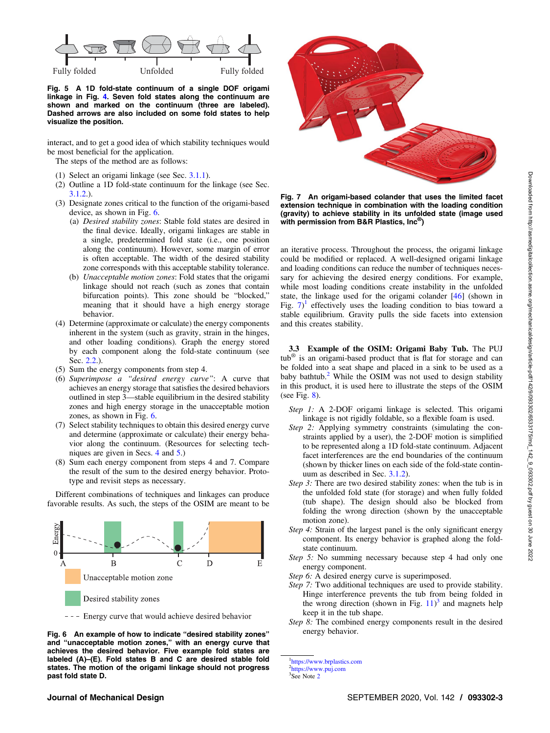<span id="page-2-0"></span>

Fig. 5 A 1D fold-state continuum of a single DOF origami linkage in Fig. [4](#page-1-0). Seven fold states along the continuum are shown and marked on the continuum (three are labeled). Dashed arrows are also included on some fold states to help visualize the position.

interact, and to get a good idea of which stability techniques would be most beneficial for the application.

The steps of the method are as follows:

- (1) Select an origami linkage (see Sec. [3.1.1](#page-1-0)).
- (2) Outline a 1D fold-state continuum for the linkage (see Sec. [3.1.2.](#page-1-0)).
- (3) Designate zones critical to the function of the origami-based device, as shown in Fig. 6.
	- (a) Desired stability zones: Stable fold states are desired in the final device. Ideally, origami linkages are stable in a single, predetermined fold state (i.e., one position along the continuum). However, some margin of error is often acceptable. The width of the desired stability zone corresponds with this acceptable stability tolerance.
	- (b) Unacceptable motion zones: Fold states that the origami linkage should not reach (such as zones that contain bifurcation points). This zone should be "blocked," meaning that it should have a high energy storage behavior.
- (4) Determine (approximate or calculate) the energy components inherent in the system (such as gravity, strain in the hinges, and other loading conditions). Graph the energy stored by each component along the fold-state continuum (see Sec. [2.2.](#page-0-0)).
- (5) Sum the energy components from step 4.
- (6) Superimpose a "desired energy curve": A curve that achieves an energy storage that satisfies the desired behaviors outlined in step 3—stable equilibrium in the desired stability zones and high energy storage in the unacceptable motion zones, as shown in Fig. 6.
- (7) Select stability techniques to obtain this desired energy curve and determine (approximate or calculate) their energy behavior along the continuum. (Resources for selecting techniques are given in Secs. [4](#page-3-0) and [5](#page-5-0).)
- (8) Sum each energy component from steps 4 and 7. Compare the result of the sum to the desired energy behavior. Prototype and revisit steps as necessary.

Different combinations of techniques and linkages can produce favorable results. As such, the steps of the OSIM are meant to be



--- Energy curve that would achieve desired behavior

Fig. 6 An example of how to indicate "desired stability zones" and "unacceptable motion zones," with an energy curve that achieves the desired behavior. Five example fold states are labeled (A)–(E). Fold states B and C are desired stable fold states. The motion of the origami linkage should not progress past fold state D.



Fig. 7 An origami-based colander that uses the limited facet extension technique in combination with the loading condition (gravity) to achieve stability in its unfolded state (image used with permission from B&R Plastics, Inc<sup>®</sup>)

an iterative process. Throughout the process, the origami linkage could be modified or replaced. A well-designed origami linkage and loading conditions can reduce the number of techniques necessary for achieving the desired energy conditions. For example, while most loading conditions create instability in the unfolded state, the linkage used for the origami colander [[46\]](#page-9-0) (shown in Fig.  $7)^1$  effectively uses the loading condition to bias toward a stable equilibrium. Gravity pulls the side facets into extension and this creates stability.

3.3 Example of the OSIM: Origami Baby Tub. The PUJ tub® is an origami-based product that is flat for storage and can be folded into a seat shape and placed in a sink to be used as a baby bathtub.<sup>2</sup> While the OSIM was not used to design stability in this product, it is used here to illustrate the steps of the OSIM (see Fig.  $8$ ).

- Step 1: A 2-DOF origami linkage is selected. This origami linkage is not rigidly foldable, so a flexible foam is used.
- Step 2: Applying symmetry constraints (simulating the constraints applied by a user), the 2-DOF motion is simplified to be represented along a 1D fold-state continuum. Adjacent facet interferences are the end boundaries of the continuum (shown by thicker lines on each side of the fold-state continuum as described in Sec. [3.1.2\)](#page-1-0).
- Step 3: There are two desired stability zones: when the tub is in the unfolded fold state (for storage) and when fully folded (tub shape). The design should also be blocked from folding the wrong direction (shown by the unacceptable motion zone).
- Step 4: Strain of the largest panel is the only significant energy component. Its energy behavior is graphed along the foldstate continuum.
- Step 5: No summing necessary because step 4 had only one energy component.
- Step 6: A desired energy curve is superimposed.
- Step 7: Two additional techniques are used to provide stability. Hinge interference prevents the tub from being folded in the wrong direction (shown in Fig.  $11$ )<sup>3</sup> and magnets help keep it in the tub shape.
- Step 8: The combined energy components result in the desired energy behavior.

3 See Note 2

<sup>1</sup> [https://www.brplastics.com](http://www.brplastics.com) <sup>2</sup><https://www.puj.com>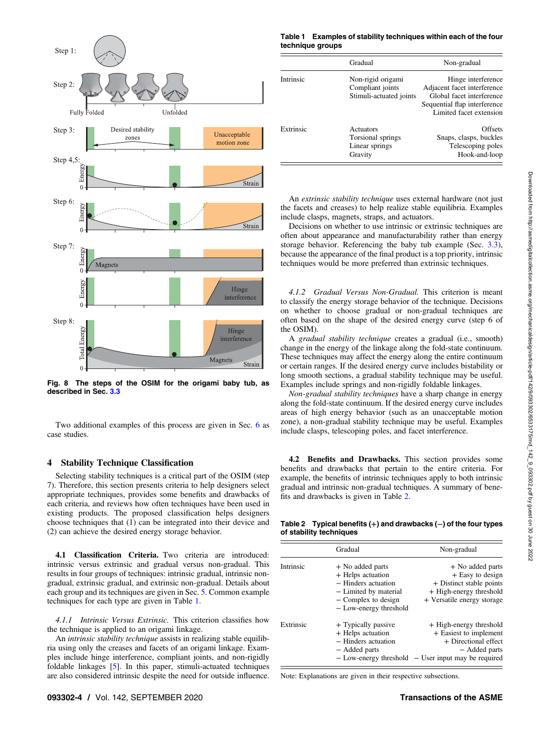<span id="page-3-0"></span>

Fig. 8 The steps of the OSIM for the origami baby tub, as described in Sec. [3.3](#page-2-0)

Two additional examples of this process are given in Sec. [6](#page-6-0) as case studies.

#### 4 Stability Technique Classification

Selecting stability techniques is a critical part of the OSIM (step 7). Therefore, this section presents criteria to help designers select appropriate techniques, provides some benefits and drawbacks of each criteria, and reviews how often techniques have been used in existing products. The proposed classification helps designers choose techniques that (1) can be integrated into their device and (2) can achieve the desired energy storage behavior.

4.1 Classification Criteria. Two criteria are introduced: intrinsic versus extrinsic and gradual versus non-gradual. This results in four groups of techniques: intrinsic gradual, intrinsic nongradual, extrinsic gradual, and extrinsic non-gradual. Details about each group and its techniques are given in Sec. [5](#page-5-0). Common example techniques for each type are given in Table 1.

4.1.1 Intrinsic Versus Extrinsic. This criterion classifies how the technique is applied to an origami linkage.

An intrinsic stability technique assists in realizing stable equilibria using only the creases and facets of an origami linkage. Examples include hinge interference, compliant joints, and non-rigidly foldable linkages [[5](#page-9-0)]. In this paper, stimuli-actuated techniques are also considered intrinsic despite the need for outside influence.

#### Table 1 Examples of stability techniques within each of the four technique groups

|           | Gradual                                                          | Non-gradual                                                                                                                               |
|-----------|------------------------------------------------------------------|-------------------------------------------------------------------------------------------------------------------------------------------|
| Intrinsic | Non-rigid origami<br>Compliant joints<br>Stimuli-actuated joints | Hinge interference<br>Adjacent facet interference<br>Global facet interference<br>Sequential flap interference<br>Limited facet extension |
| Extrinsic | Actuators<br>Torsional springs<br>Linear springs<br>Gravity      | <b>Offsets</b><br>Snaps, clasps, buckles<br>Telescoping poles<br>Hook-and-loop                                                            |

An extrinsic stability technique uses external hardware (not just the facets and creases) to help realize stable equilibria. Examples include clasps, magnets, straps, and actuators.

Decisions on whether to use intrinsic or extrinsic techniques are often about appearance and manufacturability rather than energy storage behavior. Referencing the baby tub example (Sec. [3.3\)](#page-2-0), because the appearance of the final product is a top priority, intrinsic techniques would be more preferred than extrinsic techniques.

4.1.2 Gradual Versus Non-Gradual. This criterion is meant to classify the energy storage behavior of the technique. Decisions on whether to choose gradual or non-gradual techniques are often based on the shape of the desired energy curve (step 6 of the OSIM).

A gradual stability technique creates a gradual (i.e., smooth) change in the energy of the linkage along the fold-state continuum. These techniques may affect the energy along the entire continuum or certain ranges. If the desired energy curve includes bistability or long smooth sections, a gradual stability technique may be useful. Examples include springs and non-rigidly foldable linkages.

Non-gradual stability techniques have a sharp change in energy along the fold-state continuum. If the desired energy curve includes areas of high energy behavior (such as an unacceptable motion zone), a non-gradual stability technique may be useful. Examples include clasps, telescoping poles, and facet interference.

4.2 Benefits and Drawbacks. This section provides some benefits and drawbacks that pertain to the entire criteria. For example, the benefits of intrinsic techniques apply to both intrinsic gradual and intrinsic non-gradual techniques. A summary of benefits and drawbacks is given in Table 2.

Table 2 Typical benefits (+) and drawbacks (−) of the four types of stability techniques

|           | Gradual                                                                                                                                  | Non-gradual                                                                                                                                       |
|-----------|------------------------------------------------------------------------------------------------------------------------------------------|---------------------------------------------------------------------------------------------------------------------------------------------------|
| Intrinsic | + No added parts<br>+ Helps actuation<br>- Hinders actuation<br>- Limited by material<br>$-$ Complex to design<br>- Low-energy threshold | + No added parts<br>+ Easy to design<br>+ Distinct stable points<br>+ High-energy threshold<br>+ Versatile energy storage                         |
| Extrinsic | + Typically passive<br>+ Helps actuation<br>- Hinders actuation<br>- Added parts                                                         | + High-energy threshold<br>+ Easiest to implement<br>+ Directional effect<br>- Added parts<br>- Low-energy threshold - User input may be required |

Note: Explanations are given in their respective subsections.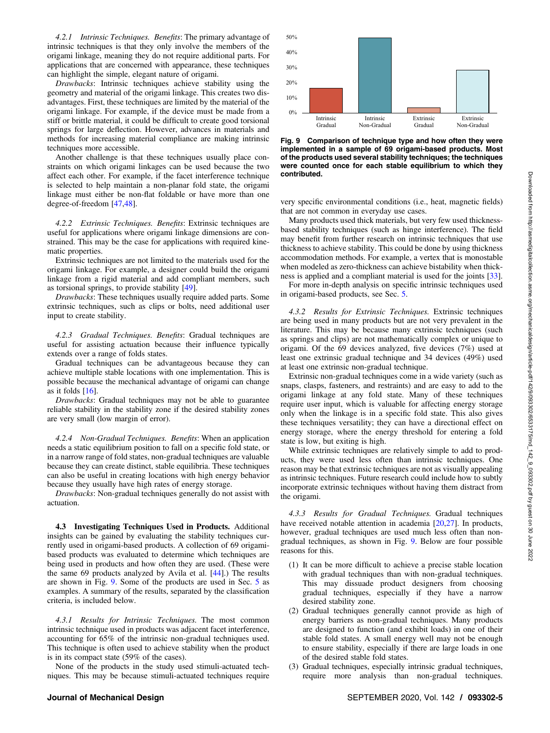<span id="page-4-0"></span>4.2.1 Intrinsic Techniques. Benefits: The primary advantage of intrinsic techniques is that they only involve the members of the origami linkage, meaning they do not require additional parts. For applications that are concerned with appearance, these techniques can highlight the simple, elegant nature of origami.

Drawbacks: Intrinsic techniques achieve stability using the geometry and material of the origami linkage. This creates two disadvantages. First, these techniques are limited by the material of the origami linkage. For example, if the device must be made from a stiff or brittle material, it could be difficult to create good torsional springs for large deflection. However, advances in materials and methods for increasing material compliance are making intrinsic techniques more accessible.

Another challenge is that these techniques usually place constraints on which origami linkages can be used because the two affect each other. For example, if the facet interference technique is selected to help maintain a non-planar fold state, the origami linkage must either be non-flat foldable or have more than one degree-of-freedom [\[47,48](#page-9-0)].

4.2.2 Extrinsic Techniques. Benefits: Extrinsic techniques are useful for applications where origami linkage dimensions are constrained. This may be the case for applications with required kinematic properties.

Extrinsic techniques are not limited to the materials used for the origami linkage. For example, a designer could build the origami linkage from a rigid material and add compliant members, such as torsional springs, to provide stability [\[49](#page-9-0)].

Drawbacks: These techniques usually require added parts. Some extrinsic techniques, such as clips or bolts, need additional user input to create stability.

4.2.3 Gradual Techniques. Benefits: Gradual techniques are useful for assisting actuation because their influence typically extends over a range of folds states.

Gradual techniques can be advantageous because they can achieve multiple stable locations with one implementation. This is possible because the mechanical advantage of origami can change as it folds  $[16]$  $[16]$ .

Drawbacks: Gradual techniques may not be able to guarantee reliable stability in the stability zone if the desired stability zones are very small (low margin of error).

4.2.4 Non-Gradual Techniques. Benefits: When an application needs a static equilibrium position to fall on a specific fold state, or in a narrow range of fold states, non-gradual techniques are valuable because they can create distinct, stable equilibria. These techniques can also be useful in creating locations with high energy behavior because they usually have high rates of energy storage.

Drawbacks: Non-gradual techniques generally do not assist with actuation.

4.3 Investigating Techniques Used in Products. Additional insights can be gained by evaluating the stability techniques currently used in origami-based products. A collection of 69 origamibased products was evaluated to determine which techniques are being used in products and how often they are used. (These were the same 69 products analyzed by Avila et al. [[44\]](#page-9-0).) The results are shown in Fig. 9. Some of the products are used in Sec. [5](#page-5-0) as examples. A summary of the results, separated by the classification criteria, is included below.

4.3.1 Results for Intrinsic Techniques. The most common intrinsic technique used in products was adjacent facet interference, accounting for 65% of the intrinsic non-gradual techniques used. This technique is often used to achieve stability when the product is in its compact state (59% of the cases).

None of the products in the study used stimuli-actuated techniques. This may be because stimuli-actuated techniques require



Fig. 9 Comparison of technique type and how often they were implemented in a sample of 69 origami-based products. Most of the products used several stability techniques; the techniques were counted once for each stable equilibrium to which they contributed.

very specific environmental conditions (i.e., heat, magnetic fields) that are not common in everyday use cases.

Many products used thick materials, but very few used thicknessbased stability techniques (such as hinge interference). The field may benefit from further research on intrinsic techniques that use thickness to achieve stability. This could be done by using thickness accommodation methods. For example, a vertex that is monostable when modeled as zero-thickness can achieve bistability when thickness is applied and a compliant material is used for the joints [[33\]](#page-9-0).

For more in-depth analysis on specific intrinsic techniques used in origami-based products, see Sec. [5](#page-5-0).

4.3.2 Results for Extrinsic Techniques. Extrinsic techniques are being used in many products but are not very prevalent in the literature. This may be because many extrinsic techniques (such as springs and clips) are not mathematically complex or unique to origami. Of the 69 devices analyzed, five devices (7%) used at least one extrinsic gradual technique and 34 devices (49%) used at least one extrinsic non-gradual technique.

Extrinsic non-gradual techniques come in a wide variety (such as snaps, clasps, fasteners, and restraints) and are easy to add to the origami linkage at any fold state. Many of these techniques require user input, which is valuable for affecting energy storage only when the linkage is in a specific fold state. This also gives these techniques versatility; they can have a directional effect on energy storage, where the energy threshold for entering a fold state is low, but exiting is high.

While extrinsic techniques are relatively simple to add to products, they were used less often than intrinsic techniques. One reason may be that extrinsic techniques are not as visually appealing as intrinsic techniques. Future research could include how to subtly incorporate extrinsic techniques without having them distract from the origami.

4.3.3 Results for Gradual Techniques. Gradual techniques have received notable attention in academia [[20,27\]](#page-9-0). In products, however, gradual techniques are used much less often than nongradual techniques, as shown in Fig. 9. Below are four possible reasons for this.

- (1) It can be more difficult to achieve a precise stable location with gradual techniques than with non-gradual techniques. This may dissuade product designers from choosing gradual techniques, especially if they have a narrow desired stability zone.
- (2) Gradual techniques generally cannot provide as high of energy barriers as non-gradual techniques. Many products are designed to function (and exhibit loads) in one of their stable fold states. A small energy well may not be enough to ensure stability, especially if there are large loads in one of the desired stable fold states.
- (3) Gradual techniques, especially intrinsic gradual techniques, require more analysis than non-gradual techniques.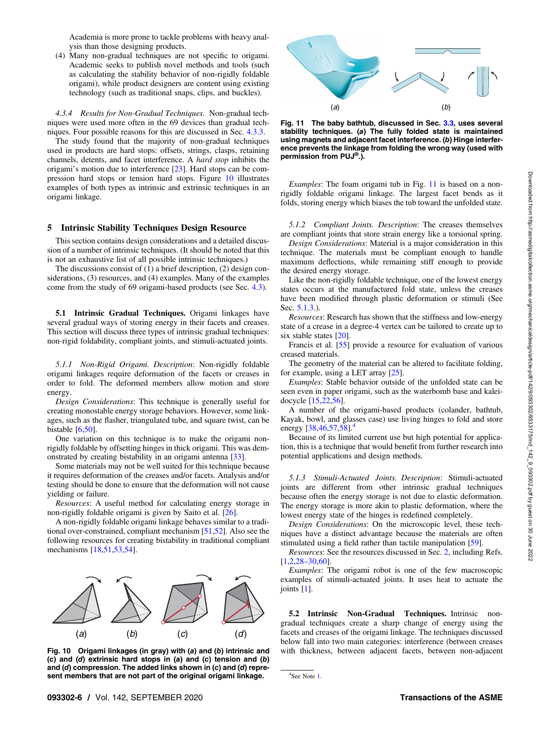Academia is more prone to tackle problems with heavy analysis than those designing products.

<span id="page-5-0"></span>(4) Many non-gradual techniques are not specific to origami. Academic seeks to publish novel methods and tools (such as calculating the stability behavior of non-rigidly foldable origami), while product designers are content using existing technology (such as traditional snaps, clips, and buckles).

4.3.4 Results for Non-Gradual Techniques. Non-gradual techniques were used more often in the 69 devices than gradual techniques. Four possible reasons for this are discussed in Sec. [4.3.3](#page-4-0).

The study found that the majority of non-gradual techniques used in products are hard stops: offsets, strings, clasps, retaining channels, detents, and facet interference. A hard stop inhibits the origami's motion due to interference [\[23](#page-9-0)]. Hard stops can be compression hard stops or tension hard stops. Figure 10 illustrates examples of both types as intrinsic and extrinsic techniques in an origami linkage.

#### 5 Intrinsic Stability Techniques Design Resource

This section contains design considerations and a detailed discussion of a number of intrinsic techniques. (It should be noted that this is not an exhaustive list of all possible intrinsic techniques.)

The discussions consist of (1) a brief description, (2) design considerations, (3) resources, and (4) examples. Many of the examples come from the study of 69 origami-based products (see Sec. [4.3](#page-4-0)).

5.1 Intrinsic Gradual Techniques. Origami linkages have several gradual ways of storing energy in their facets and creases. This section will discuss three types of intrinsic gradual techniques: non-rigid foldability, compliant joints, and stimuli-actuated joints.

5.1.1 Non-Rigid Origami. Description: Non-rigidly foldable origami linkages require deformation of the facets or creases in order to fold. The deformed members allow motion and store energy.

Design Considerations: This technique is generally useful for creating monostable energy storage behaviors. However, some linkages, such as the flasher, triangulated tube, and square twist, can be bistable  $[6,50]$ .

One variation on this technique is to make the origami nonrigidly foldable by offsetting hinges in thick origami. This was demonstrated by creating bistability in an origami antenna [[33\]](#page-9-0).

Some materials may not be well suited for this technique because it requires deformation of the creases and/or facets. Analysis and/or testing should be done to ensure that the deformation will not cause yielding or failure.

Resources: A useful method for calculating energy storage in non-rigidly foldable origami is given by Saito et al. [\[26](#page-9-0)].

A non-rigidly foldable origami linkage behaves similar to a traditional over-constrained, compliant mechanism [\[51](#page-9-0),[52\]](#page-10-0). Also see the following resources for creating bistability in traditional compliant mechanisms [[18,51,](#page-9-0)[53,54](#page-10-0)].



Fig. 10 Origami linkages (in gray) with (a) and (b) intrinsic and (c) and (d) extrinsic hard stops in (a) and (c) tension and (b) and (d) compression. The added links shown in (c) and (d) represent members that are not part of the original origami linkage.



Fig. 11 The baby bathtub, discussed in Sec. [3.3,](#page-2-0) uses several stability techniques. (a) The fully folded state is maintained using magnets and adjacent facet interference. (b) Hinge interference prevents the linkage from folding the wrong way (used with permission from PUJ®.).

Examples: The foam origami tub in Fig. 11 is based on a nonrigidly foldable origami linkage. The largest facet bends as it folds, storing energy which biases the tub toward the unfolded state.

5.1.2 Compliant Joints. Description: The creases themselves are compliant joints that store strain energy like a torsional spring.

Design Considerations: Material is a major consideration in this technique. The materials must be compliant enough to handle maximum deflections, while remaining stiff enough to provide the desired energy storage.

Like the non-rigidly foldable technique, one of the lowest energy states occurs at the manufactured fold state, unless the creases have been modified through plastic deformation or stimuli (See Sec. 5.1.3.).

Resources: Research has shown that the stiffness and low-energy state of a crease in a degree-4 vertex can be tailored to create up to six stable states [[20\]](#page-9-0).

Francis et al. [[55\]](#page-10-0) provide a resource for evaluation of various creased materials.

The geometry of the material can be altered to facilitate folding, for example, using a LET array [[25\]](#page-9-0).

Examples: Stable behavior outside of the unfolded state can be seen even in paper origami, such as the waterbomb base and kaleidocycle [\[15](#page-9-0),[22,](#page-9-0)[56\]](#page-10-0).

A number of the origami-based products (colander, bathtub, Kayak, bowl, and glasses case) use living hinges to fold and store energy  $[38,46,57,58]$  $[38,46,57,58]$  $[38,46,57,58]$  $[38,46,57,58]$  $[38,46,57,58]$ .<sup>4</sup>

Because of its limited current use but high potential for application, this is a technique that would benefit from further research into potential applications and design methods.

5.1.3 Stimuli-Actuated Joints. Description: Stimuli-actuated joints are different from other intrinsic gradual techniques because often the energy storage is not due to elastic deformation. The energy storage is more akin to plastic deformation, where the lowest energy state of the hinges is redefined completely.

Design Considerations: On the microscopic level, these techniques have a distinct advantage because the materials are often stimulated using a field rather than tactile manipulation [\[59](#page-10-0)].

Resources: See the resources discussed in Sec. [2](#page-0-0), including Refs. [[1](#page-9-0),[2](#page-9-0),28–30[,60](#page-10-0)].

Examples: The origami robot is one of the few macroscopic examples of stimuli-actuated joints. It uses heat to actuate the joints [\[1\]](#page-9-0).

5.2 Intrinsic Non-Gradual Techniques. Intrinsic nongradual techniques create a sharp change of energy using the facets and creases of the origami linkage. The techniques discussed below fall into two main categories: interference (between creases with thickness, between adjacent facets, between non-adjacent

```
4
See Note 1.
```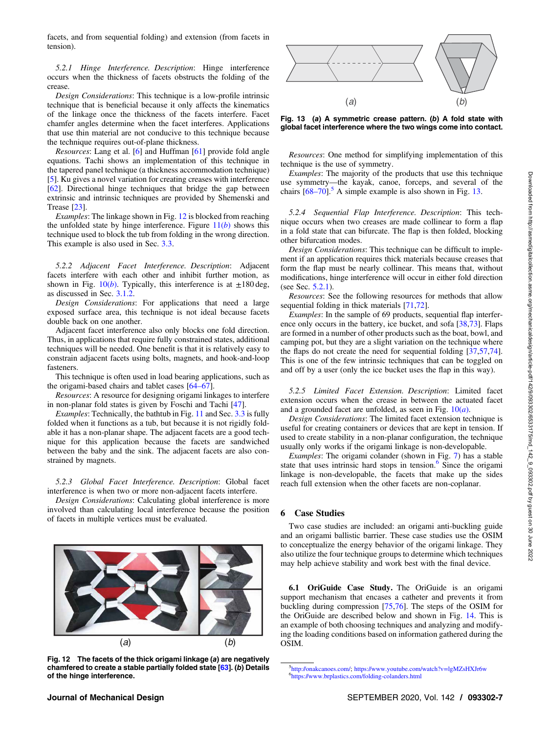<span id="page-6-0"></span>facets, and from sequential folding) and extension (from facets in tension).

5.2.1 Hinge Interference. Description: Hinge interference occurs when the thickness of facets obstructs the folding of the crease.

Design Considerations: This technique is a low-profile intrinsic technique that is beneficial because it only affects the kinematics of the linkage once the thickness of the facets interfere. Facet chamfer angles determine when the facet interferes. Applications that use thin material are not conducive to this technique because the technique requires out-of-plane thickness.

Resources: Lang et al. [\[6\]](#page-9-0) and Huffman [[61\]](#page-10-0) provide fold angle equations. Tachi shows an implementation of this technique in the tapered panel technique (a thickness accommodation technique) [[5](#page-9-0)]. Ku gives a novel variation for creating creases with interference [[62\]](#page-10-0). Directional hinge techniques that bridge the gap between extrinsic and intrinsic techniques are provided by Shemenski and Trease [\[23](#page-9-0)].

Examples: The linkage shown in Fig. 12 is blocked from reaching the unfolded state by hinge interference. Figure  $11(b)$  $11(b)$  shows this technique used to block the tub from folding in the wrong direction. This example is also used in Sec. [3.3.](#page-2-0)

5.2.2 Adjacent Facet Interference. Description: Adjacent facets interfere with each other and inhibit further motion, as shown in Fig.  $10(b)$  $10(b)$ . Typically, this interference is at  $\pm 180$  deg, as discussed in Sec. [3.1.2](#page-1-0).

Design Considerations: For applications that need a large exposed surface area, this technique is not ideal because facets double back on one another.

Adjacent facet interference also only blocks one fold direction. Thus, in applications that require fully constrained states, additional techniques will be needed. One benefit is that it is relatively easy to constrain adjacent facets using bolts, magnets, and hook-and-loop fasteners.

This technique is often used in load bearing applications, such as the origami-based chairs and tablet cases [64–67].

Resources: A resource for designing origami linkages to interfere in non-planar fold states is given by Foschi and Tachi [\[47](#page-9-0)].

Examples: Technically, the bathtub in Fig. [11](#page-5-0) and Sec. [3.3](#page-2-0) is fully folded when it functions as a tub, but because it is not rigidly foldable it has a non-planar shape. The adjacent facets are a good technique for this application because the facets are sandwiched between the baby and the sink. The adjacent facets are also constrained by magnets.

5.2.3 Global Facet Interference. Description: Global facet interference is when two or more non-adjacent facets interfere.

Design Considerations: Calculating global interference is more involved than calculating local interference because the position of facets in multiple vertices must be evaluated.



Fig. 12 The facets of the thick origami linkage (a) are negatively chamfered to create a stable partially folded state [\[63\]](#page-10-0). (b) Details of the hinge interference.



Fig. 13 (a) A symmetric crease pattern. (b) A fold state with global facet interference where the two wings come into contact.

Resources: One method for simplifying implementation of this technique is the use of symmetry.

Examples: The majority of the products that use this technique use symmetry—the kayak, canoe, forceps, and several of the chairs  $[68-70]$ <sup>5</sup> A simple example is also shown in Fig. 13.

5.2.4 Sequential Flap Interference. Description: This technique occurs when two creases are made collinear to form a flap in a fold state that can bifurcate. The flap is then folded, blocking other bifurcation modes.

Design Considerations: This technique can be difficult to implement if an application requires thick materials because creases that form the flap must be nearly collinear. This means that, without modifications, hinge interference will occur in either fold direction (see Sec.  $5.2.1$ ).

Resources: See the following resources for methods that allow sequential folding in thick materials [\[71](#page-10-0),[72\]](#page-10-0).

Examples: In the sample of 69 products, sequential flap interfer-ence only occurs in the battery, ice bucket, and sofa [[38,](#page-9-0)[73\]](#page-10-0). Flaps are formed in a number of other products such as the boat, bowl, and camping pot, but they are a slight variation on the technique where the flaps do not create the need for sequential folding [\[37](#page-9-0),[57,74\]](#page-10-0). This is one of the few intrinsic techniques that can be toggled on and off by a user (only the ice bucket uses the flap in this way).

5.2.5 Limited Facet Extension. Description: Limited facet extension occurs when the crease in between the actuated facet and a grounded facet are unfolded, as seen in Fig.  $10(a)$  $10(a)$ .

Design Considerations: The limited facet extension technique is useful for creating containers or devices that are kept in tension. If used to create stability in a non-planar configuration, the technique usually only works if the origami linkage is non-developable.

Examples: The origami colander (shown in Fig. [7](#page-2-0)) has a stable state that uses intrinsic hard stops in tension. $6$  Since the origami linkage is non-developable, the facets that make up the sides reach full extension when the other facets are non-coplanar.

#### 6 Case Studies

Two case studies are included: an origami anti-buckling guide and an origami ballistic barrier. These case studies use the OSIM to conceptualize the energy behavior of the origami linkage. They also utilize the four technique groups to determine which techniques may help achieve stability and work best with the final device.

6.1 OriGuide Case Study. The OriGuide is an origami support mechanism that encases a catheter and prevents it from buckling during compression [\[75](#page-10-0),[76\]](#page-10-0). The steps of the OSIM for the OriGuide are described below and shown in Fig. [14.](#page-7-0) This is an example of both choosing techniques and analyzing and modifying the loading conditions based on information gathered during the OSIM.

 ${}^{5}$ [http://onakcanoes.com/;](http://onakcanoes.com/) [https://www.youtube.com/watch?v](https://www.youtube.com/watch?v=lgMZsHXJr6w)=lgMZsHXJr6w  ${}^{6}$ https://www.kralecties.com/folding.color.com/watch?v=lgMZsHXJr6w <https://www.brplastics.com/folding-colanders.html>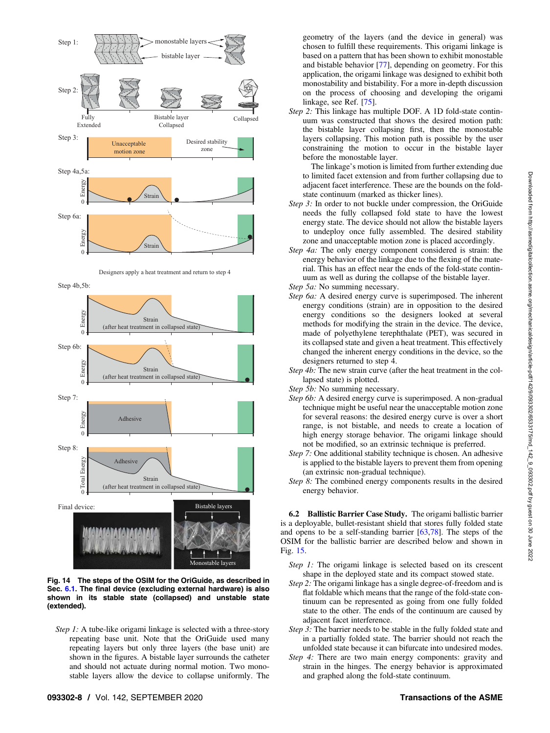<span id="page-7-0"></span>



Step 4b,5b:



Fig. 14 The steps of the OSIM for the OriGuide, as described in Sec. [6.1](#page-6-0). The final device (excluding external hardware) is also shown in its stable state (collapsed) and unstable state (extended).

Step 1: A tube-like origami linkage is selected with a three-story repeating base unit. Note that the OriGuide used many repeating layers but only three layers (the base unit) are shown in the figures. A bistable layer surrounds the catheter and should not actuate during normal motion. Two monostable layers allow the device to collapse uniformly. The

geometry of the layers (and the device in general) was chosen to fulfill these requirements. This origami linkage is based on a pattern that has been shown to exhibit monostable and bistable behavior [\[77](#page-10-0)], depending on geometry. For this application, the origami linkage was designed to exhibit both monostability and bistability. For a more in-depth discussion on the process of choosing and developing the origami linkage, see Ref. [[75\]](#page-10-0).

Step 2: This linkage has multiple DOF. A 1D fold-state continuum was constructed that shows the desired motion path: the bistable layer collapsing first, then the monostable layers collapsing. This motion path is possible by the user constraining the motion to occur in the bistable layer before the monostable layer.

The linkage's motion is limited from further extending due to limited facet extension and from further collapsing due to adjacent facet interference. These are the bounds on the foldstate continuum (marked as thicker lines).

- Step 3: In order to not buckle under compression, the OriGuide needs the fully collapsed fold state to have the lowest energy state. The device should not allow the bistable layers to undeploy once fully assembled. The desired stability zone and unacceptable motion zone is placed accordingly.
- Step 4a: The only energy component considered is strain: the energy behavior of the linkage due to the flexing of the material. This has an effect near the ends of the fold-state continuum as well as during the collapse of the bistable layer.
- Step 5a: No summing necessary.
- Step 6a: A desired energy curve is superimposed. The inherent energy conditions (strain) are in opposition to the desired energy conditions so the designers looked at several methods for modifying the strain in the device. The device, made of polyethylene terephthalate (PET), was secured in its collapsed state and given a heat treatment. This effectively changed the inherent energy conditions in the device, so the designers returned to step 4.
- Step 4b: The new strain curve (after the heat treatment in the collapsed state) is plotted.
- Step 5b: No summing necessary.
- Step 6b: A desired energy curve is superimposed. A non-gradual technique might be useful near the unacceptable motion zone for several reasons: the desired energy curve is over a short range, is not bistable, and needs to create a location of high energy storage behavior. The origami linkage should not be modified, so an extrinsic technique is preferred.
- Step 7: One additional stability technique is chosen. An adhesive is applied to the bistable layers to prevent them from opening (an extrinsic non-gradual technique).
- Step 8: The combined energy components results in the desired energy behavior.

6.2 Ballistic Barrier Case Study. The origami ballistic barrier is a deployable, bullet-resistant shield that stores fully folded state and opens to be a self-standing barrier [\[63](#page-10-0),[78\]](#page-10-0). The steps of the OSIM for the ballistic barrier are described below and shown in Fig. [15.](#page-8-0)

- Step 1: The origami linkage is selected based on its crescent shape in the deployed state and its compact stowed state.
- Step 2: The origami linkage has a single degree-of-freedom and is flat foldable which means that the range of the fold-state continuum can be represented as going from one fully folded state to the other. The ends of the continuum are caused by adjacent facet interference.
- Step 3: The barrier needs to be stable in the fully folded state and in a partially folded state. The barrier should not reach the unfolded state because it can bifurcate into undesired modes.
- Step 4: There are two main energy components: gravity and strain in the hinges. The energy behavior is approximated and graphed along the fold-state continuum.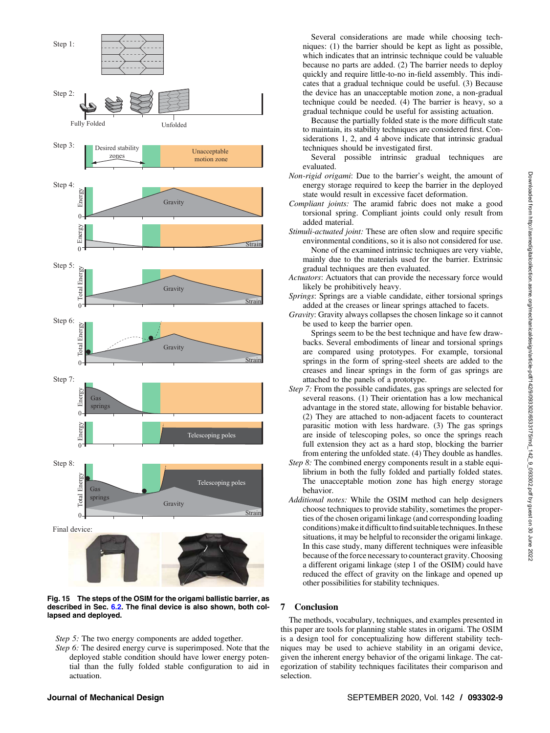<span id="page-8-0"></span>



Step 5: The two energy components are added together.

Step 6: The desired energy curve is superimposed. Note that the deployed stable condition should have lower energy potential than the fully folded stable configuration to aid in actuation.

Several considerations are made while choosing techniques: (1) the barrier should be kept as light as possible, which indicates that an intrinsic technique could be valuable because no parts are added. (2) The barrier needs to deploy quickly and require little-to-no in-field assembly. This indicates that a gradual technique could be useful. (3) Because the device has an unacceptable motion zone, a non-gradual technique could be needed. (4) The barrier is heavy, so a gradual technique could be useful for assisting actuation.

Because the partially folded state is the more difficult state to maintain, its stability techniques are considered first. Considerations 1, 2, and 4 above indicate that intrinsic gradual techniques should be investigated first.

Several possible intrinsic gradual techniques are evaluated.

- Non-rigid origami: Due to the barrier's weight, the amount of energy storage required to keep the barrier in the deployed state would result in excessive facet deformation.
- Compliant joints: The aramid fabric does not make a good torsional spring. Compliant joints could only result from added material.
- Stimuli-actuated joint: These are often slow and require specific environmental conditions, so it is also not considered for use. None of the examined intrinsic techniques are very viable, mainly due to the materials used for the barrier. Extrinsic gradual techniques are then evaluated.
- Actuators: Actuators that can provide the necessary force would likely be prohibitively heavy.
- Springs: Springs are a viable candidate, either torsional springs added at the creases or linear springs attached to facets.
- Gravity: Gravity always collapses the chosen linkage so it cannot be used to keep the barrier open.

Springs seem to be the best technique and have few drawbacks. Several embodiments of linear and torsional springs are compared using prototypes. For example, torsional springs in the form of spring-steel sheets are added to the creases and linear springs in the form of gas springs are attached to the panels of a prototype.

- Step 7: From the possible candidates, gas springs are selected for several reasons. (1) Their orientation has a low mechanical advantage in the stored state, allowing for bistable behavior. (2) They are attached to non-adjacent facets to counteract parasitic motion with less hardware. (3) The gas springs are inside of telescoping poles, so once the springs reach full extension they act as a hard stop, blocking the barrier from entering the unfolded state. (4) They double as handles.
- Step 8: The combined energy components result in a stable equilibrium in both the fully folded and partially folded states. The unacceptable motion zone has high energy storage behavior.
- Additional notes: While the OSIM method can help designers choose techniques to provide stability, sometimes the properties of the chosen origami linkage (and corresponding loading conditions) make it difficult to find suitable techniques. In these situations, it may be helpful to reconsider the origami linkage. In this case study, many different techniques were infeasible because of the force necessary to counteract gravity. Choosing a different origami linkage (step 1 of the OSIM) could have reduced the effect of gravity on the linkage and opened up other possibilities for stability techniques.

#### 7 Conclusion

The methods, vocabulary, techniques, and examples presented in this paper are tools for planning stable states in origami. The OSIM is a design tool for conceptualizing how different stability techniques may be used to achieve stability in an origami device, given the inherent energy behavior of the origami linkage. The categorization of stability techniques facilitates their comparison and selection.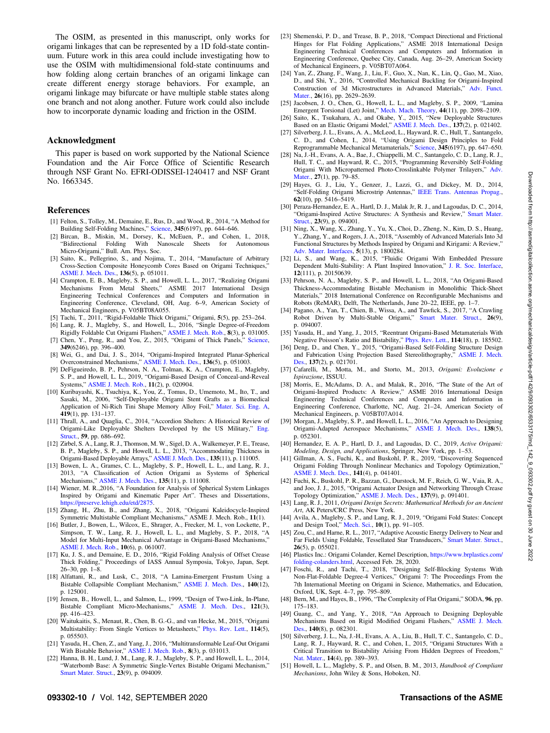<span id="page-9-0"></span>The OSIM, as presented in this manuscript, only works for origami linkages that can be represented by a 1D fold-state continuum. Future work in this area could include investigating how to use the OSIM with multidimensional fold-state continuums and how folding along certain branches of an origami linkage can create different energy storage behaviors. For example, an origami linkage may bifurcate or have multiple stable states along one branch and not along another. Future work could also include how to incorporate dynamic loading and friction in the OSIM.

#### Acknowledgment

This paper is based on work supported by the National Science Foundation and the Air Force Office of Scientific Research through NSF Grant No. EFRI-ODISSEI-1240417 and NSF Grant No. 1663345.

#### References

- [1] Felton, S., Tolley, M., Demaine, E., Rus, D., and Wood, R., 2014, "A Method for Building Self-Folding Machines," [Science](http://dx.doi.org/10.1126/science.1252610), 345(6197), pp. 644–646.
- [2] Bircan, B., Miskin, M., Dorsey, K., McEuen, P., and Cohen, I., 2018, "Bidirectional Folding With Nanoscale Sheets for Autonomous Micro-Origami," Bull. Am. Phys. Soc.
- [3] Saito, K., Pellegrino, S., and Nojima, T., 2014, "Manufacture of Arbitrary Cross-Section Composite Honeycomb Cores Based on Origami Techniques," [ASME J. Mech. Des.,](http://dx.doi.org/10.1115/1.4026824) 136(5), p. 051011.
- [4] Crampton, E. B., Magleby, S. P., and Howell, L. L., 2017, "Realizing Origami Mechanisms From Metal Sheets," ASME 2017 International Design Engineering Technical Conferences and Computers and Information in Engineering Conference, Cleveland, OH, Aug. 6–9, American Society of Mechanical Engineers, p. V05BT08A055.
- [5] Tachi, T., 2011, "Rigid-Foldable Thick Origami," Origami, 5(5), pp. 253–264.
- [6] Lang, R. J., Magleby, S., and Howell, L., 2016, "Single Degree-of-Freedom Rigidly Foldable Cut Origami Flashers," [ASME J. Mech. Rob.,](http://dx.doi.org/10.1115/1.4032102) 8(3), p. 031005.
- [7] Chen, Y., Peng, R., and You, Z., 2015, "Origami of Thick Panels," [Science](http://dx.doi.org/10.1126/science.aab2870), 349(6246), pp. 396–400.
- [8] Wei, G., and Dai, J. S., 2014, "Origami-Inspired Integrated Planar-Spherical Overconstrained Mechanisms," [ASME J. Mech. Des.](http://dx.doi.org/10.1115/1.4025821), 136(5), p. 051003.
- [9] DeFigueiredo, B. P., Pehrson, N. A., Tolman, K. A., Crampton, E., Magleby, S. P., and Howell, L. L., 2019, "Origami-Based Design of Conceal-and-Reveal Systems," [ASME J. Mech. Rob.](http://dx.doi.org/10.1115/1.4042427), 11(2), p. 020904.
- [10] Kuribayashi, K., Tsuchiya, K., You, Z., Tomus, D., Umemoto, M., Ito, T., and Sasaki, M., 2006, "Self-Deployable Origami Stent Grafts as a Biomedical Application of Ni-Rich Tini Shape Memory Alloy Foil," [Mater. Sci. Eng. A](http://dx.doi.org/10.1016/j.msea.2005.12.016), 419(1), pp. 131–137.
- [11] Thrall, A., and Quaglia, C., 2014, "Accordion Shelters: A Historical Review of Origami-Like Deployable Shelters Developed by the US Military," [Eng.](https://dx.doi.org/10.1016/j.engstruct.2013.11.009) [Struct.,](https://dx.doi.org/10.1016/j.engstruct.2013.11.009) 59, pp. 686-692.
- [12] Zirbel, S. A., Lang, R. J., Thomson, M. W., Sigel, D. A., Walkemeyer, P. E., Trease, B. P., Magleby, S. P., and Howell, L. L., 2013, "Accommodating Thickness in Origami-Based Deployable Arrays," [ASME J. Mech. Des.](http://dx.doi.org/10.1115/1.4025372), 135(11), p. 111005.
- [13] Bowen, L. A., Grames, C. L., Magleby, S. P., Howell, L. L., and Lang, R. J., 2013, "A Classification of Action Origami as Systems of Spherical Mechanisms," [ASME J. Mech. Des.](http://dx.doi.org/10.1115/1.4025379), 135(11), p. 111008.
- [14] Wiener, M. R.,2016, "A Foundation for Analysis of Spherical System Linkages Inspired by Origami and Kinematic Paper Art". Theses and Dissertations, <https://preserve.lehigh.edu/etd/2875>.
- [15] Zhang, H., Zhu, B., and Zhang, X., 2018, "Origami Kaleidocycle-Inspired Symmetric Multistable Compliant Mechanisms," ASME J. Mech. Rob., 11(1).
- [16] Butler, J., Bowen, L., Wilcox, E., Shrager, A., Frecker, M. I., von Lockette, P., Simpson, T. W., Lang, R. J., Howell, L. L., and Magleby, S. P., 2018, "A Model for Multi-Input Mechanical Advantage in Origami-Based Mechanisms," [ASME J. Mech. Rob.](http://dx.doi.org/10.1115/1.4041199), 10(6), p. 061007.
- [17] Ku, J. S., and Demaine, E. D., 2016, "Rigid Folding Analysis of Offset Crease Thick Folding," Proceedings of IASS Annual Symposia, Tokyo, Japan, Sept. 26–30, pp. 1–8.
- [18] Alfattani, R., and Lusk, C., 2018, "A Lamina-Emergent Frustum Using a Bistable Collapsible Compliant Mechanism," [ASME J. Mech. Des.](http://dx.doi.org/10.1115/1.4037621), 140(12), p. 125001.
- [19] Jensen, B., Howell, L., and Salmon, L., 1999, "Design of Two-Link, In-Plane, Bistable Compliant Micro-Mechanisms," [ASME J. Mech. Des.](http://dx.doi.org/10.1115/1.2829477), 121(3), pp. 416–423.
- [20] Waitukaitis, S., Menaut, R., Chen, B. G.-G., and van Hecke, M., 2015, "Origami Multistability: From Single Vertices to Metasheets," [Phys. Rev. Lett.](http://dx.doi.org/10.1103/PhysRevLett.114.055503), 114(5), p. 055503.
- [21] Yasuda, H., Chen, Z., and Yang, J., 2016, "Multitransformable Leaf-Out Origami With Bistable Behavior," [ASME J. Mech. Rob.](http://dx.doi.org/10.1115/1.4031809), 8(3), p. 031013.
- [22] Hanna, B. H., Lund, J. M., Lang, R. J., Magleby, S. P., and Howell, L. L., 2014, "Waterbomb Base: A Symmetric Single-Vertex Bistable Origami Mechanism," [Smart Mater. Struct.,](http://dx.doi.org/10.1088/0964-1726/23/9/094009) 23(9), p. 094009.
- [23] Shemenski, P. D., and Trease, B. P., 2018, "Compact Directional and Frictional Hinges for Flat Folding Applications," ASME 2018 International Design Engineering Technical Conferences and Computers and Information in Engineering Conference, Quebec City, Canada, Aug. 26–29, American Society of Mechanical Engineers, p. V05BT07A064.
- [24] Yan, Z., Zhang, F., Wang, J., Liu, F., Guo, X., Nan, K., Lin, Q., Gao, M., Xiao, D., and Shi, Y., 2016, "Controlled Mechanical Buckling for Origami-Inspired Construction of 3d Microstructures in Advanced Materials," [Adv. Funct.](http://dx.doi.org/10.1002/adfm.201504901) [Mater.,](http://dx.doi.org/10.1002/adfm.201504901) 26(16), pp. 2629–2639.
- [25] Jacobsen, J. O., Chen, G., Howell, L. L., and Magleby, S. P., 2009, "Lamina Emergent Torsional (Let) Joint," [Mech. Mach. Theory,](http://dx.doi.org/10.1016/j.mechmachtheory.2009.05.015) 44(11), pp. 2098–2109.
- [26] Saito, K., Tsukahara, A., and Okabe, Y., 2015, "New Deployable Structures Based on an Elastic Origami Model," [ASME J. Mech. Des.](http://dx.doi.org/10.1115/1.4029228), 137(2), p. 021402.
- [27] Silverberg, J. L., Evans, A. A., McLeod, L., Hayward, R. C., Hull, T., Santangelo, C. D., and Cohen, I., 2014, "Using Origami Design Principles to Fold Reprogrammable Mechanical Metamaterials," [Science](http://dx.doi.org/10.1126/science.1252876), 345(6197), pp. 647–650.
- [28] Na, J.-H., Evans, A. A., Bae, J., Chiappelli, M. C., Santangelo, C. D., Lang, R. J., Hull, T. C., and Hayward, R. C., 2015, "Programming Reversibly Self-Folding Origami With Micropatterned Photo-Crosslinkable Polymer Trilayers," [Adv.](http://dx.doi.org/10.1002/adma.201403510) [Mater.,](http://dx.doi.org/10.1002/adma.201403510) 27(1), pp. 79–85.
- [29] Hayes, G. J., Liu, Y., Genzer, J., Lazzi, G., and Dickey, M. D., 2014, "Self-Folding Origami Microstrip Antennas," [IEEE Trans. Antennas Propag.](http://dx.doi.org/10.1109/TAP.2014.2346188), 62(10), pp. 5416–5419.
- [30] Peraza-Hernandez, E. A., Hartl, D. J., Malak Jr, R. J., and Lagoudas, D. C., 2014, "Origami-Inspired Active Structures: A Synthesis and Review," [Smart Mater.](http://dx.doi.org/10.1088/0964-1726/23/9/094001) [Struct.,](http://dx.doi.org/10.1088/0964-1726/23/9/094001) 23(9), p. 094001.
- [31] Ning, X., Wang, X., Zhang, Y., Yu, X., Choi, D., Zheng, N., Kim, D. S., Huang, Y., Zhang, Y., and Rogers, J. A., 2018, "Assembly of Advanced Materials Into 3d Functional Structures by Methods Inspired by Origami and Kirigami: A Review,' [Adv. Mater. Interfaces,](http://dx.doi.org/10.1002/admi.201800284) 5(13), p. 1800284.
- [32] Li, S., and Wang, K., 2015, "Fluidic Origami With Embedded Pressure Dependent Multi-Stability: A Plant Inspired Innovation," [J. R. Soc. Interface](http://dx.doi.org/10.1098/rsif.2015.0639), 12(111), p. 20150639.
- [33] Pehrson, N. A., Magleby, S. P., and Howell, L. L., 2018, "An Origami-Based Thickness-Accommodating Bistable Mechanism in Monolithic Thick-Sheet Materials," 2018 International Conference on Reconfigurable Mechanisms and Robots (ReMAR), Delft, The Netherlands, June 20–22, IEEE, pp. 1–7.
- [34] Pagano, A., Yan, T., Chien, B., Wissa, A., and Tawfick, S., 2017, "A Crawling Robot Driven by Multi-Stable Origami," [Smart Mater. Struct.](http://dx.doi.org/10.1088/1361-665X/aa721e), 26(9), p. 094007.
- [35] Yasuda, H., and Yang, J., 2015, "Reentrant Origami-Based Metamaterials With Negative Poisson's Ratio and Bistability," [Phys. Rev. Lett.](http://dx.doi.org/10.1103/PhysRevLett.114.185502), 114(18), p. 185502.
- [36] Deng, D., and Chen, Y., 2015, "Origami-Based Self-Folding Structure Design and Fabrication Using Projection Based Stereolithography," [ASME J. Mech.](http://dx.doi.org/10.1115/1.4029066) [Des.,](http://dx.doi.org/10.1115/1.4029066) 137(2), p. 021701.
- [37] Cafarelli, M., Motta, M., and Storto, M., 2013, Origami: Evoluzione e Ispirazione, ISSUU.
- [38] Morris, E., McAdams, D. A., and Malak, R., 2016, "The State of the Art of Origami-Inspired Products: A Review," ASME 2016 International Design Engineering Technical Conferences and Computers and Information in Engineering Conference, Charlotte, NC, Aug. 21–24, American Society of Mechanical Engineers, p. V05BT07A014.
- [39] Morgan, J., Magleby, S. P., and Howell, L. L., 2016, "An Approach to Designing Origami-Adapted Aerospace Mechanisms," [ASME J. Mech. Des.](http://dx.doi.org/10.1115/1.4032973), 138(5), p. 052301.
- [40] Hernandez, E. A. P., Hartl, D. J., and Lagoudas, D. C., 2019, Active Origami: Modeling, Design, and Applications, Springer, New York, pp. 1–53.
- [41] Gillman, A. S., Fuchi, K., and Buskohl, P. R., 2019, "Discovering Sequenced Origami Folding Through Nonlinear Mechanics and Topology Optimization," [ASME J. Mech. Des.,](http://dx.doi.org/10.1115/1.4041782) 141(4), p. 041401.
- [42] Fuchi, K., Buskohl, P. R., Bazzan, G., Durstock, M. F., Reich, G. W., Vaia, R. A., and Joo, J. J., 2015, "Origami Actuator Design and Networking Through Crease Topology Optimization," [ASME J. Mech. Des.](http://dx.doi.org/10.1115/1.4030876), 137(9), p. 091401.
- [43] Lang, R. J., 2011, Origami Design Secrets: Mathematical Methods for an Ancient Art, AK Peters/CRC Press, New York.
- [44] Avila, A., Magleby, S. P., and Lang, R. J., 2019, "Origami Fold States: Concept and Design Tool," [Mech. Sci.](http://dx.doi.org/10.5194/ms-10-91-2019), 10(1), pp. 91–105.
- [45] Zou, C., and Harne, R. L., 2017, "Adaptive Acoustic Energy Delivery to Near and Far Fields Using Foldable, Tessellated Star Transducers," [Smart Mater. Struct.](http://dx.doi.org/10.1088/1361-665X/aa6a93), 26(5), p. 055021.
- [46] Plastics Inc.: Origami Colander, Kernel Description, [https://www.brplastics.com/](https://www.brplastics.com/folding-colanders.html) [folding-colanders.html,](https://www.brplastics.com/folding-colanders.html) Accessed Feb. 28, 2020.
- [47] Foschi, R., and Tachi, T., 2018, "Designing Self-Blocking Systems With Non-Flat-Foldable Degree-4 Vertices," Origami 7: The Proceedings From the 7th International Meeting on Origami in Science, Mathematics, and Education, Oxford, UK, Sept. 4–7, pp. 795–809.
- [48] Bern, M., and Hayes, B., 1996, "The Complexity of Flat Origami," SODA, 96, pp. 175–183.
- [49] Guang, C., and Yang, Y., 2018, "An Approach to Designing Deployable Mechanisms Based on Rigid Modified Origami Flashers," [ASME J. Mech.](http://dx.doi.org/10.1115/1.4040178) [Des.,](http://dx.doi.org/10.1115/1.4040178) 140(8), p. 082301.
- [50] Silverberg, J. L., Na, J.-H., Evans, A. A., Liu, B., Hull, T. C., Santangelo, C. D., Lang, R. J., Hayward, R. C., and Cohen, I., 2015, "Origami Structures With a Critical Transition to Bistability Arising From Hidden Degrees of Freedom," [Nat. Mater.](http://dx.doi.org/10.1038/nmat4232), 14(4), pp. 389-393.
- [51] Howell, L. L., Magleby, S. P., and Olsen, B. M., 2013, Handbook of Compliant Mechanisms, John Wiley & Sons, Hoboken, NJ.